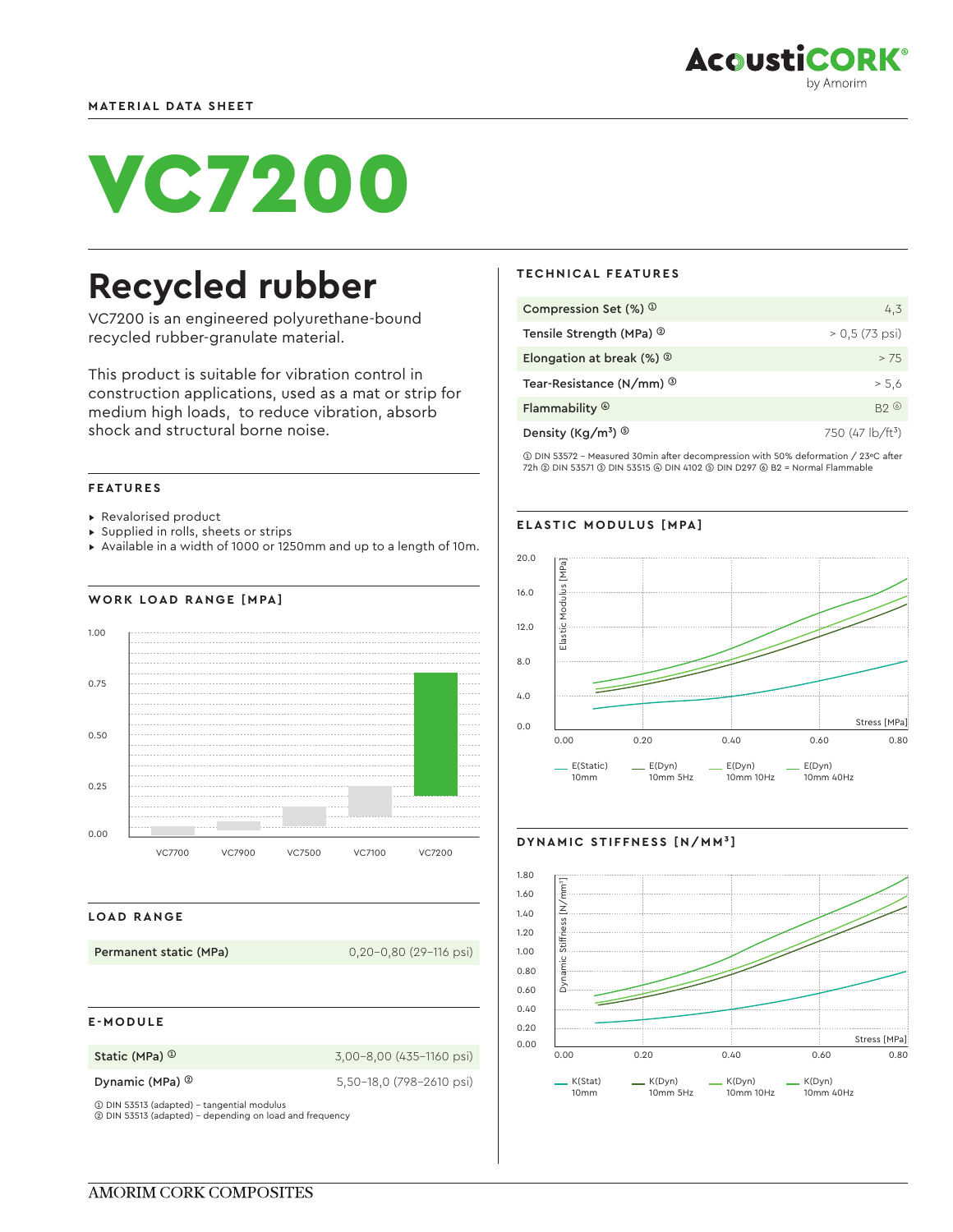

# VC7200

## **Recycled rubber**

VC7200 is an engineered polyurethane-bound recycled rubber-granulate material.

This product is suitable for vibration control in construction applications, used as a mat or strip for medium high loads, to reduce vibration, absorb shock and structural borne noise.

#### **FEATURES**

- ▸ Revalorised product
- ▸ Supplied in rolls, sheets or strips
- ▸ Available in a width of 1000 or 1250mm and up to a length of 10m.

### **WORK LOAD RANGE [MPA]**



#### **LOAD RANGE**

**Permanent static (MPa)** 0,20-0,80 (29-116 psi)

#### **E-MODULE**

**Static (MPa) <sup>①</sup> 3,00-8,00 (435-1160 psi)** 

**Dynamic (MPa) ©** 5,50-18,0 (798-2610 psi)

➀ DIN 53513 (adapted) - tangential modulus ➁ DIN 53513 (adapted) - depending on load and frequency

#### **TECHNICAL FEATURES**

| Compression Set $(\%)$ <sup>①</sup>         | 4,3                                       |
|---------------------------------------------|-------------------------------------------|
| Tensile Strength (MPa) <sup>2</sup>         | $> 0.5 (73 \text{ psi})$                  |
| Elongation at break $(\%)$ $\circ$          | > 7.5                                     |
| Tear-Resistance (N/mm) <sup>3</sup>         | > 5.6                                     |
| Flammability ®                              | B20                                       |
| Density (Kg/m <sup>3</sup> ) $\circledcirc$ | 750 (47 $\frac{1}{2}$ b/ft <sup>3</sup> ) |

➀ DIN 53572 - Measured 30min after decompression with 50% deformation / 23ºC after 72h ➁ DIN 53571 ➂ DIN 53515 ➃ DIN 4102 ➄ DIN D297 ➅ B2 = Normal Flammable

#### **ELASTIC MODULUS [MPA]**



#### **DYNAMIC STIFFNESS [N/MM³]**